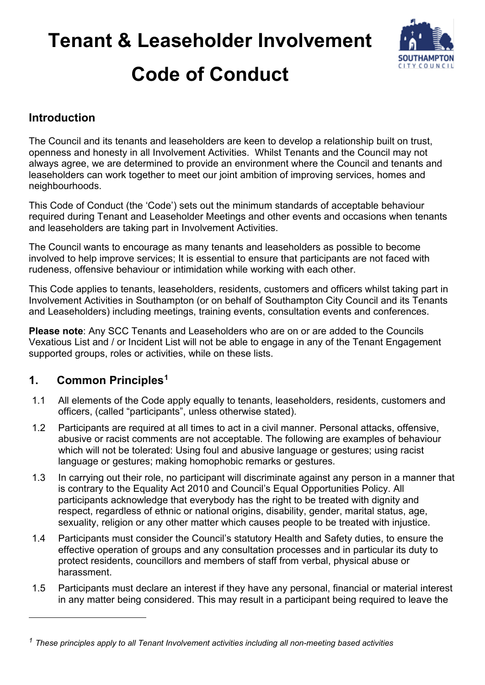# **Tenant & Leaseholder Involvement Code of Conduct**



**Introduction**

The Council and its tenants and leaseholders are keen to develop a relationship built on trust, openness and honesty in all Involvement Activities. Whilst Tenants and the Council may not always agree, we are determined to provide an environment where the Council and tenants and leaseholders can work together to meet our joint ambition of improving services, homes and neighbourhoods.

This Code of Conduct (the 'Code') sets out the minimum standards of acceptable behaviour required during Tenant and Leaseholder Meetings and other events and occasions when tenants and leaseholders are taking part in Involvement Activities.

The Council wants to encourage as many tenants and leaseholders as possible to become involved to help improve services; It is essential to ensure that participants are not faced with rudeness, offensive behaviour or intimidation while working with each other.

This Code applies to tenants, leaseholders, residents, customers and officers whilst taking part in Involvement Activities in Southampton (or on behalf of Southampton City Council and its Tenants and Leaseholders) including meetings, training events, consultation events and conferences.

**Please note**: Any SCC Tenants and Leaseholders who are on or are added to the Councils Vexatious List and / or Incident List will not be able to engage in any of the Tenant Engagement supported groups, roles or activities, while on these lists.

#### **1. Common Principles[1](#page-0-0)**

- 1.1 All elements of the Code apply equally to tenants, leaseholders, residents, customers and officers, (called "participants", unless otherwise stated).
- 1.2 Participants are required at all times to act in a civil manner. Personal attacks, offensive, abusive or racist comments are not acceptable. The following are examples of behaviour which will not be tolerated: Using foul and abusive language or gestures; using racist language or gestures; making homophobic remarks or gestures.
- 1.3 In carrying out their role, no participant will discriminate against any person in a manner that is contrary to the Equality Act 2010 and Council's Equal Opportunities Policy. All participants acknowledge that everybody has the right to be treated with dignity and respect, regardless of ethnic or national origins, disability, gender, marital status, age, sexuality, religion or any other matter which causes people to be treated with injustice.
- 1.4 Participants must consider the Council's statutory Health and Safety duties, to ensure the effective operation of groups and any consultation processes and in particular its duty to protect residents, councillors and members of staff from verbal, physical abuse or harassment.
- 1.5 Participants must declare an interest if they have any personal, financial or material interest in any matter being considered. This may result in a participant being required to leave the

<span id="page-0-0"></span>*<sup>1</sup> These principles apply to all Tenant Involvement activities including all non-meeting based activities*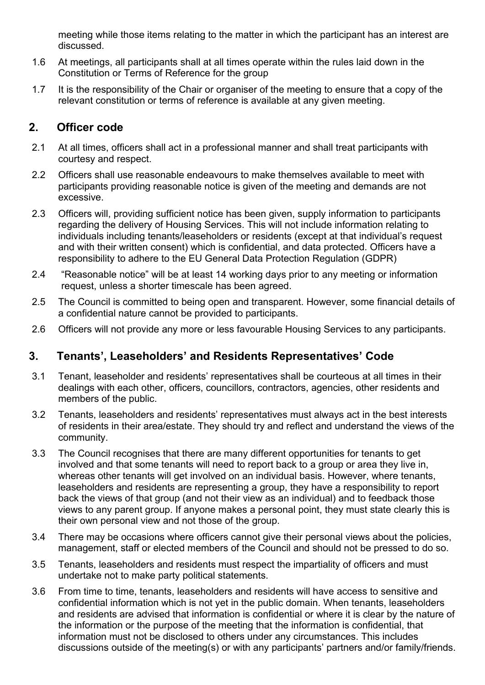meeting while those items relating to the matter in which the participant has an interest are discussed.

- 1.6 At meetings, all participants shall at all times operate within the rules laid down in the Constitution or Terms of Reference for the group
- 1.7 It is the responsibility of the Chair or organiser of the meeting to ensure that a copy of the relevant constitution or terms of reference is available at any given meeting.

### **2. Officer code**

- 2.1 At all times, officers shall act in a professional manner and shall treat participants with courtesy and respect.
- 2.2 Officers shall use reasonable endeavours to make themselves available to meet with participants providing reasonable notice is given of the meeting and demands are not excessive.
- 2.3 Officers will, providing sufficient notice has been given, supply information to participants regarding the delivery of Housing Services. This will not include information relating to individuals including tenants/leaseholders or residents (except at that individual's request and with their written consent) which is confidential, and data protected. Officers have a responsibility to adhere to the EU General Data Protection Regulation (GDPR)
- 2.4 "Reasonable notice" will be at least 14 working days prior to any meeting or information request, unless a shorter timescale has been agreed.
- 2.5 The Council is committed to being open and transparent. However, some financial details of a confidential nature cannot be provided to participants.
- 2.6 Officers will not provide any more or less favourable Housing Services to any participants.

#### **3. Tenants', Leaseholders' and Residents Representatives' Code**

- 3.1 Tenant, leaseholder and residents' representatives shall be courteous at all times in their dealings with each other, officers, councillors, contractors, agencies, other residents and members of the public.
- 3.2 Tenants, leaseholders and residents' representatives must always act in the best interests of residents in their area/estate. They should try and reflect and understand the views of the community.
- 3.3 The Council recognises that there are many different opportunities for tenants to get involved and that some tenants will need to report back to a group or area they live in, whereas other tenants will get involved on an individual basis. However, where tenants, leaseholders and residents are representing a group, they have a responsibility to report back the views of that group (and not their view as an individual) and to feedback those views to any parent group. If anyone makes a personal point, they must state clearly this is their own personal view and not those of the group.
- 3.4 There may be occasions where officers cannot give their personal views about the policies, management, staff or elected members of the Council and should not be pressed to do so.
- 3.5 Tenants, leaseholders and residents must respect the impartiality of officers and must undertake not to make party political statements.
- 3.6 From time to time, tenants, leaseholders and residents will have access to sensitive and confidential information which is not yet in the public domain. When tenants, leaseholders and residents are advised that information is confidential or where it is clear by the nature of the information or the purpose of the meeting that the information is confidential, that information must not be disclosed to others under any circumstances. This includes discussions outside of the meeting(s) or with any participants' partners and/or family/friends.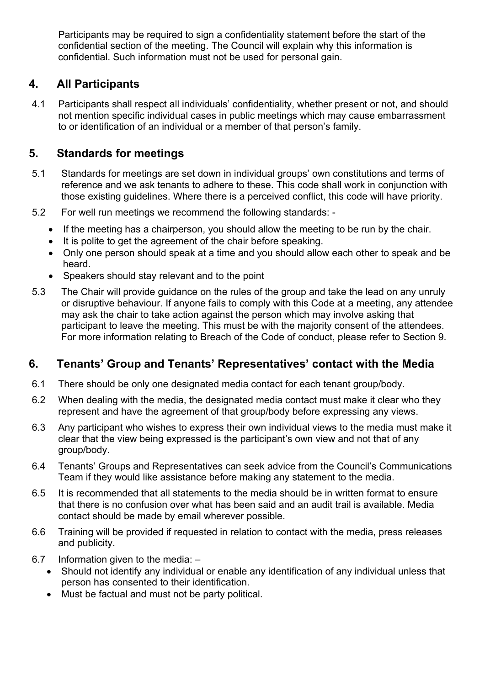Participants may be required to sign a confidentiality statement before the start of the confidential section of the meeting. The Council will explain why this information is confidential. Such information must not be used for personal gain.

# **4. All Participants**

4.1 Participants shall respect all individuals' confidentiality, whether present or not, and should not mention specific individual cases in public meetings which may cause embarrassment to or identification of an individual or a member of that person's family.

# **5. Standards for meetings**

- 5.1 Standards for meetings are set down in individual groups' own constitutions and terms of reference and we ask tenants to adhere to these. This code shall work in conjunction with those existing guidelines. Where there is a perceived conflict, this code will have priority.
- 5.2 For well run meetings we recommend the following standards:
	- If the meeting has a chairperson, you should allow the meeting to be run by the chair.
	- It is polite to get the agreement of the chair before speaking.
	- Only one person should speak at a time and you should allow each other to speak and be heard.
	- Speakers should stay relevant and to the point
- 5.3 The Chair will provide guidance on the rules of the group and take the lead on any unruly or disruptive behaviour. If anyone fails to comply with this Code at a meeting, any attendee may ask the chair to take action against the person which may involve asking that participant to leave the meeting. This must be with the majority consent of the attendees. For more information relating to Breach of the Code of conduct, please refer to Section 9.

# **6. Tenants' Group and Tenants' Representatives' contact with the Media**

- 6.1 There should be only one designated media contact for each tenant group/body.
- 6.2 When dealing with the media, the designated media contact must make it clear who they represent and have the agreement of that group/body before expressing any views.
- 6.3 Any participant who wishes to express their own individual views to the media must make it clear that the view being expressed is the participant's own view and not that of any group/body.
- 6.4 Tenants' Groups and Representatives can seek advice from the Council's Communications Team if they would like assistance before making any statement to the media.
- 6.5 It is recommended that all statements to the media should be in written format to ensure that there is no confusion over what has been said and an audit trail is available. Media contact should be made by email wherever possible.
- 6.6 Training will be provided if requested in relation to contact with the media, press releases and publicity.
- 6.7 Information given to the media:
	- Should not identify any individual or enable any identification of any individual unless that person has consented to their identification.
	- Must be factual and must not be party political.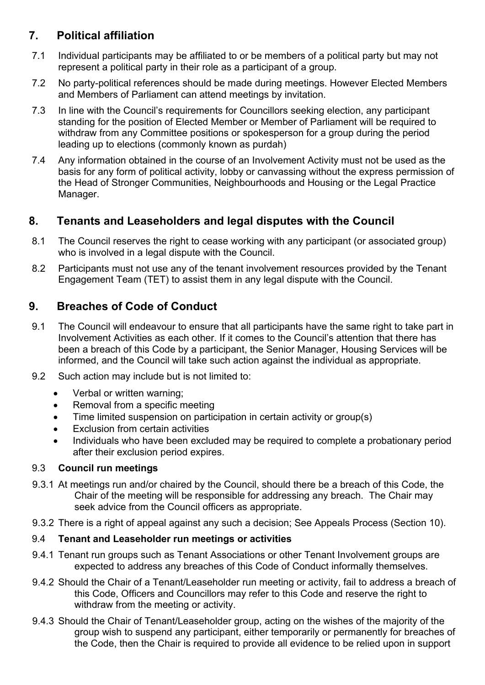# **7. Political affiliation**

- 7.1 Individual participants may be affiliated to or be members of a political party but may not represent a political party in their role as a participant of a group.
- 7.2 No party-political references should be made during meetings. However Elected Members and Members of Parliament can attend meetings by invitation.
- 7.3 In line with the Council's requirements for Councillors seeking election, any participant standing for the position of Elected Member or Member of Parliament will be required to withdraw from any Committee positions or spokesperson for a group during the period leading up to elections (commonly known as purdah)
- 7.4 Any information obtained in the course of an Involvement Activity must not be used as the basis for any form of political activity, lobby or canvassing without the express permission of the Head of Stronger Communities, Neighbourhoods and Housing or the Legal Practice Manager.

# **8. Tenants and Leaseholders and legal disputes with the Council**

- 8.1 The Council reserves the right to cease working with any participant (or associated group) who is involved in a legal dispute with the Council.
- 8.2 Participants must not use any of the tenant involvement resources provided by the Tenant Engagement Team (TET) to assist them in any legal dispute with the Council.

# **9. Breaches of Code of Conduct**

- 9.1 The Council will endeavour to ensure that all participants have the same right to take part in Involvement Activities as each other. If it comes to the Council's attention that there has been a breach of this Code by a participant, the Senior Manager, Housing Services will be informed, and the Council will take such action against the individual as appropriate.
- 9.2 Such action may include but is not limited to:
	- Verbal or written warning;
	- Removal from a specific meeting
	- Time limited suspension on participation in certain activity or group(s)
	- **Exclusion from certain activities**
	- Individuals who have been excluded may be required to complete a probationary period after their exclusion period expires.

#### 9.3 **Council run meetings**

- 9.3.1 At meetings run and/or chaired by the Council, should there be a breach of this Code, the Chair of the meeting will be responsible for addressing any breach. The Chair may seek advice from the Council officers as appropriate.
- 9.3.2 There is a right of appeal against any such a decision; See Appeals Process (Section 10).

#### 9.4 **Tenant and Leaseholder run meetings or activities**

- 9.4.1 Tenant run groups such as Tenant Associations or other Tenant Involvement groups are expected to address any breaches of this Code of Conduct informally themselves.
- 9.4.2 Should the Chair of a Tenant/Leaseholder run meeting or activity, fail to address a breach of this Code, Officers and Councillors may refer to this Code and reserve the right to withdraw from the meeting or activity.
- 9.4.3 Should the Chair of Tenant/Leaseholder group, acting on the wishes of the majority of the group wish to suspend any participant, either temporarily or permanently for breaches of the Code, then the Chair is required to provide all evidence to be relied upon in support